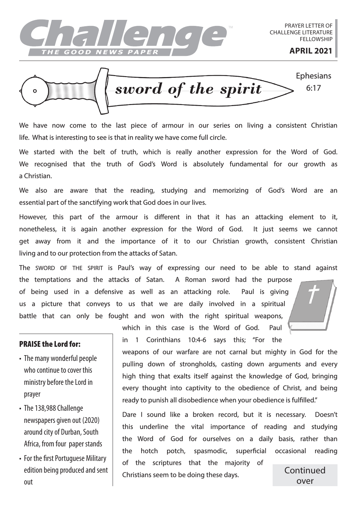

*sword of the spirit* Ephesians 6:17

We have now come to the last piece of armour in our series on living a consistent Christian life. What is interesting to see is that in reality we have come full circle.

We started with the belt of truth, which is really another expression for the Word of God. We recognised that the truth of God's Word is absolutely fundamental for our growth as a Christian.

We also are aware that the reading, studying and memorizing of God's Word are an essential part of the sanctifying work that God does in our lives.

However, this part of the armour is different in that it has an attacking element to it, nonetheless, it is again another expression for the Word of God. It just seems we cannot get away from it and the importance of it to our Christian growth, consistent Christian living and to our protection from the attacks of Satan.

The SWORD OF THE SPIRIT is Paul's way of expressing our need to be able to stand against the temptations and the attacks of Satan. A Roman sword had the purpose of being used in a defensive as well as an attacking role. Paul is giving us a picture that conveys to us that we are daily involved in a spiritual battle that can only be fought and won with the right spiritual weapons,

## PRAISE the Lord for:

- The many wonderful people who continue to cover this ministry before the Lord in prayer
- The 138,988 Challenge newspapers given out (2020) around city of Durban, South Africa, from four paper stands
- For the first Portuguese Military edition being produced and sent out

which in this case is the Word of God. Paul in 1 Corinthians 10:4-6 says this; "For the

weapons of our warfare are not carnal but mighty in God for the pulling down of strongholds, casting down arguments and every high thing that exalts itself against the knowledge of God, bringing every thought into captivity to the obedience of Christ, and being ready to punish all disobedience when your obedience is fulfilled."

Dare I sound like a broken record, but it is necessary. Doesn't this underline the vital importance of reading and studying the Word of God for ourselves on a daily basis, rather than the hotch potch, spasmodic, superficial occasional reading

of the scriptures that the majority of Christians seem to be doing these days.

Continued over